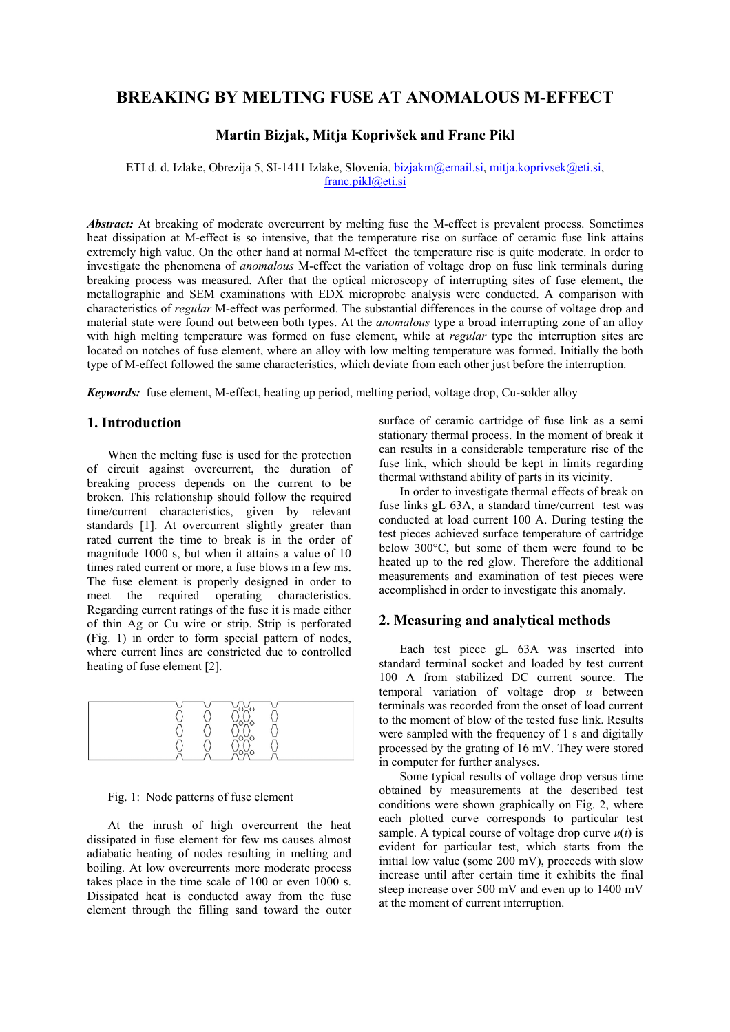# **BREAKING BY MELTING FUSE AT ANOMALOUS M-EFFECT**

# **Martin Bizjak, Mitja Koprivšek and Franc Pikl**

ETI d. d. Izlake, Obrezija 5, SI-1411 Izlake, Slovenia, bizjakm@email.si, mitja.koprivsek@eti.si, franc.pikl@eti.si

*Abstract:* At breaking of moderate overcurrent by melting fuse the M-effect is prevalent process. Sometimes heat dissipation at M-effect is so intensive, that the temperature rise on surface of ceramic fuse link attains extremely high value. On the other hand at normal M-effect the temperature rise is quite moderate. In order to investigate the phenomena of *anomalous* M-effect the variation of voltage drop on fuse link terminals during breaking process was measured. After that the optical microscopy of interrupting sites of fuse element, the metallographic and SEM examinations with EDX microprobe analysis were conducted. A comparison with characteristics of *regular* M-effect was performed. The substantial differences in the course of voltage drop and material state were found out between both types. At the *anomalous* type a broad interrupting zone of an alloy with high melting temperature was formed on fuse element, while at *regular* type the interruption sites are located on notches of fuse element, where an alloy with low melting temperature was formed. Initially the both type of M-effect followed the same characteristics, which deviate from each other just before the interruption.

*Keywords:* fuse element, M-effect, heating up period, melting period, voltage drop, Cu-solder alloy

## **1. Introduction**

When the melting fuse is used for the protection of circuit against overcurrent, the duration of breaking process depends on the current to be broken. This relationship should follow the required time/current characteristics, given by relevant standards [1]. At overcurrent slightly greater than rated current the time to break is in the order of magnitude 1000 s, but when it attains a value of 10 times rated current or more, a fuse blows in a few ms. The fuse element is properly designed in order to meet the required operating characteristics. Regarding current ratings of the fuse it is made either of thin Ag or Cu wire or strip. Strip is perforated (Fig. 1) in order to form special pattern of nodes, where current lines are constricted due to controlled heating of fuse element [2].



#### Fig. 1: Node patterns of fuse element

At the inrush of high overcurrent the heat dissipated in fuse element for few ms causes almost adiabatic heating of nodes resulting in melting and boiling. At low overcurrents more moderate process takes place in the time scale of 100 or even 1000 s. Dissipated heat is conducted away from the fuse element through the filling sand toward the outer surface of ceramic cartridge of fuse link as a semi stationary thermal process. In the moment of break it can results in a considerable temperature rise of the fuse link, which should be kept in limits regarding thermal withstand ability of parts in its vicinity.

In order to investigate thermal effects of break on fuse links gL 63A, a standard time/current test was conducted at load current 100 A. During testing the test pieces achieved surface temperature of cartridge below 300°C, but some of them were found to be heated up to the red glow. Therefore the additional measurements and examination of test pieces were accomplished in order to investigate this anomaly.

#### **2. Measuring and analytical methods**

Each test piece gL 63A was inserted into standard terminal socket and loaded by test current 100 A from stabilized DC current source. The temporal variation of voltage drop *u* between terminals was recorded from the onset of load current to the moment of blow of the tested fuse link. Results were sampled with the frequency of 1 s and digitally processed by the grating of 16 mV. They were stored in computer for further analyses.

Some typical results of voltage drop versus time obtained by measurements at the described test conditions were shown graphically on Fig. 2, where each plotted curve corresponds to particular test sample. A typical course of voltage drop curve *u*(*t*) is evident for particular test, which starts from the initial low value (some 200 mV), proceeds with slow increase until after certain time it exhibits the final steep increase over 500 mV and even up to 1400 mV at the moment of current interruption.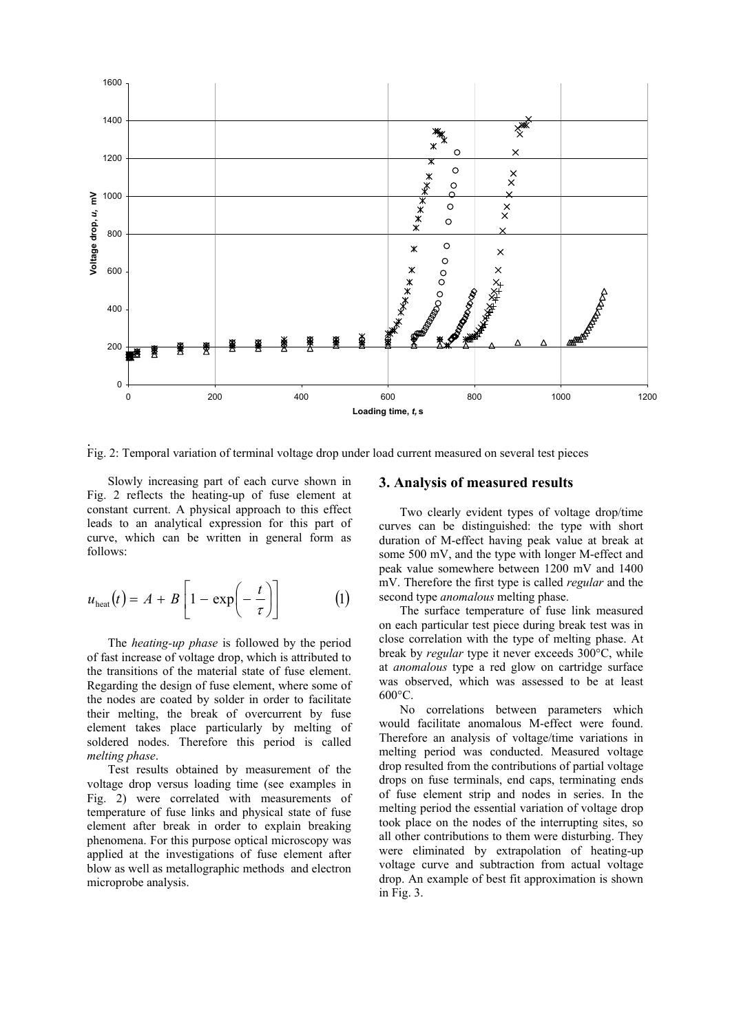

Fig. 2: Temporal variation of terminal voltage drop under load current measured on several test pieces

Slowly increasing part of each curve shown in Fig. 2 reflects the heating-up of fuse element at constant current. A physical approach to this effect leads to an analytical expression for this part of curve, which can be written in general form as follows:

$$
u_{\text{heat}}(t) = A + B \left[ 1 - \exp\left(-\frac{t}{\tau}\right) \right] \tag{1}
$$

The *heating-up phase* is followed by the period of fast increase of voltage drop, which is attributed to the transitions of the material state of fuse element. Regarding the design of fuse element, where some of the nodes are coated by solder in order to facilitate their melting, the break of overcurrent by fuse element takes place particularly by melting of soldered nodes. Therefore this period is called *melting phase*.

Test results obtained by measurement of the voltage drop versus loading time (see examples in Fig. 2) were correlated with measurements of temperature of fuse links and physical state of fuse element after break in order to explain breaking phenomena. For this purpose optical microscopy was applied at the investigations of fuse element after blow as well as metallographic methods and electron microprobe analysis.

## **3. Analysis of measured results**

Two clearly evident types of voltage drop/time curves can be distinguished: the type with short duration of M-effect having peak value at break at some 500 mV, and the type with longer M-effect and peak value somewhere between 1200 mV and 1400 mV. Therefore the first type is called *regular* and the second type *anomalous* melting phase.

The surface temperature of fuse link measured on each particular test piece during break test was in close correlation with the type of melting phase. At break by *regular* type it never exceeds 300°C, while at *anomalous* type a red glow on cartridge surface was observed, which was assessed to be at least  $600^{\circ}$ C.

No correlations between parameters which would facilitate anomalous M-effect were found. Therefore an analysis of voltage/time variations in melting period was conducted. Measured voltage drop resulted from the contributions of partial voltage drops on fuse terminals, end caps, terminating ends of fuse element strip and nodes in series. In the melting period the essential variation of voltage drop took place on the nodes of the interrupting sites, so all other contributions to them were disturbing. They were eliminated by extrapolation of heating-up voltage curve and subtraction from actual voltage drop. An example of best fit approximation is shown in Fig. 3.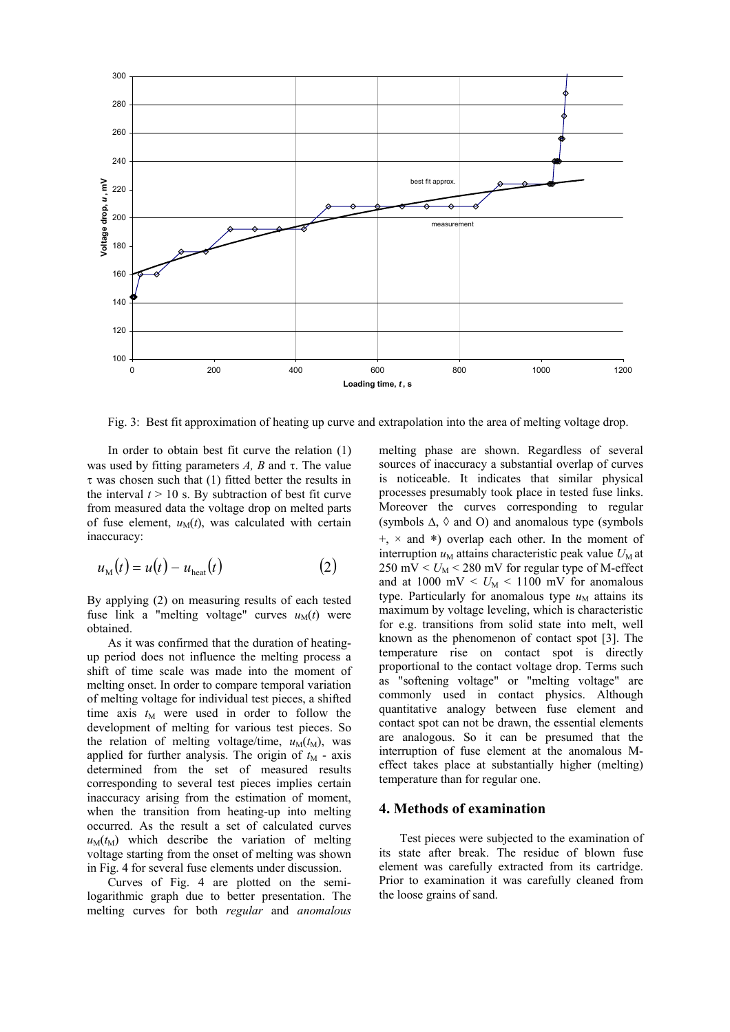

Fig. 3: Best fit approximation of heating up curve and extrapolation into the area of melting voltage drop.

In order to obtain best fit curve the relation (1) was used by fitting parameters  $A$ ,  $B$  and  $\tau$ . The value  $\tau$  was chosen such that (1) fitted better the results in the interval  $t > 10$  s. By subtraction of best fit curve from measured data the voltage drop on melted parts of fuse element,  $u_M(t)$ , was calculated with certain inaccuracy:

$$
u_{\rm M}(t) = u(t) - u_{\rm heat}(t) \tag{2}
$$

By applying (2) on measuring results of each tested fuse link a "melting voltage" curves  $u_M(t)$  were obtained.

As it was confirmed that the duration of heatingup period does not influence the melting process a shift of time scale was made into the moment of melting onset. In order to compare temporal variation of melting voltage for individual test pieces, a shifted time axis  $t_M$  were used in order to follow the development of melting for various test pieces. So the relation of melting voltage/time,  $u_M(t_M)$ , was applied for further analysis. The origin of  $t_M$  - axis determined from the set of measured results corresponding to several test pieces implies certain inaccuracy arising from the estimation of moment, when the transition from heating-up into melting occurred. As the result a set of calculated curves  $u_M(t_M)$  which describe the variation of melting voltage starting from the onset of melting was shown in Fig. 4 for several fuse elements under discussion.

Curves of Fig. 4 are plotted on the semilogarithmic graph due to better presentation. The melting curves for both *regular* and *anomalous* melting phase are shown. Regardless of several sources of inaccuracy a substantial overlap of curves is noticeable. It indicates that similar physical processes presumably took place in tested fuse links. Moreover the curves corresponding to regular (symbols  $\Delta$ ,  $\Diamond$  and O) and anomalous type (symbols  $+, \times$  and \*) overlap each other. In the moment of interruption  $u_M$  attains characteristic peak value  $U_M$  at  $250 \text{ mV} < U_M < 280 \text{ mV}$  for regular type of M-effect and at  $1000 \text{ mV} < U_M < 1100 \text{ mV}$  for anomalous type. Particularly for anomalous type  $u_M$  attains its maximum by voltage leveling, which is characteristic for e.g. transitions from solid state into melt, well known as the phenomenon of contact spot [3]. The temperature rise on contact spot is directly proportional to the contact voltage drop. Terms such as "softening voltage" or "melting voltage" are commonly used in contact physics. Although quantitative analogy between fuse element and contact spot can not be drawn, the essential elements are analogous. So it can be presumed that the interruption of fuse element at the anomalous Meffect takes place at substantially higher (melting) temperature than for regular one.

## **4. Methods of examination**

Test pieces were subjected to the examination of its state after break. The residue of blown fuse element was carefully extracted from its cartridge. Prior to examination it was carefully cleaned from the loose grains of sand.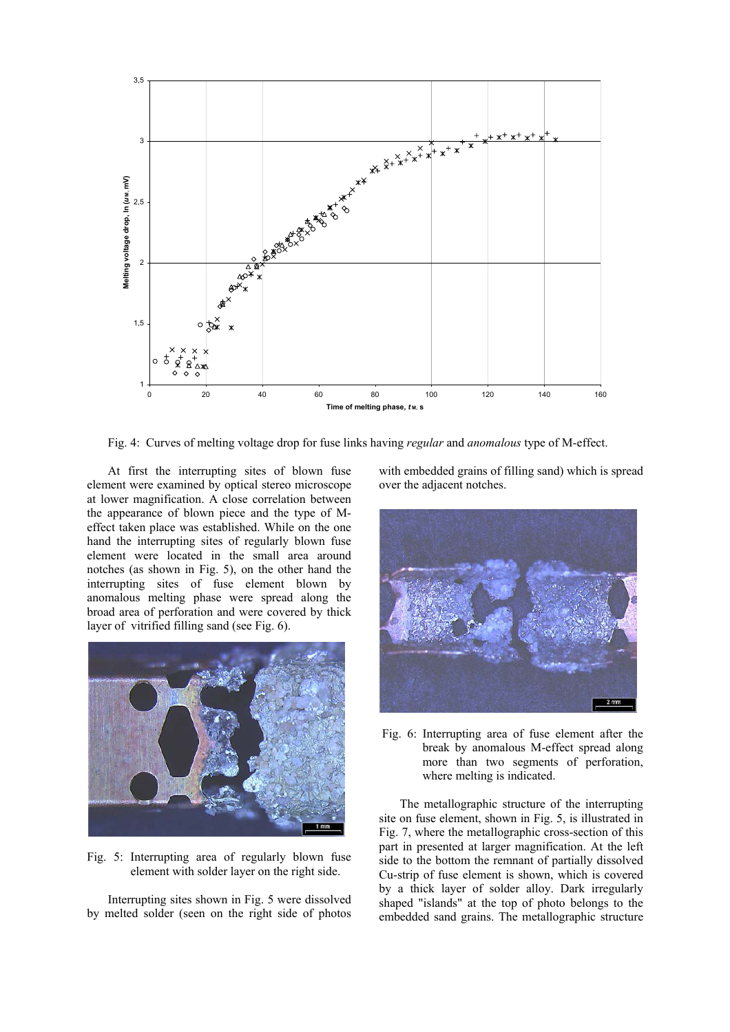

Fig. 4: Curves of melting voltage drop for fuse links having *regular* and *anomalous* type of M-effect.

At first the interrupting sites of blown fuse element were examined by optical stereo microscope at lower magnification. A close correlation between the appearance of blown piece and the type of Meffect taken place was established. While on the one hand the interrupting sites of regularly blown fuse element were located in the small area around notches (as shown in Fig. 5), on the other hand the interrupting sites of fuse element blown by anomalous melting phase were spread along the broad area of perforation and were covered by thick layer of vitrified filling sand (see Fig. 6).



Fig. 5: Interrupting area of regularly blown fuse element with solder layer on the right side.

Interrupting sites shown in Fig. 5 were dissolved by melted solder (seen on the right side of photos with embedded grains of filling sand) which is spread over the adjacent notches.



 Fig. 6: Interrupting area of fuse element after the break by anomalous M-effect spread along more than two segments of perforation, where melting is indicated.

The metallographic structure of the interrupting site on fuse element, shown in Fig. 5, is illustrated in Fig. 7, where the metallographic cross-section of this part in presented at larger magnification. At the left side to the bottom the remnant of partially dissolved Cu-strip of fuse element is shown, which is covered by a thick layer of solder alloy. Dark irregularly shaped "islands" at the top of photo belongs to the embedded sand grains. The metallographic structure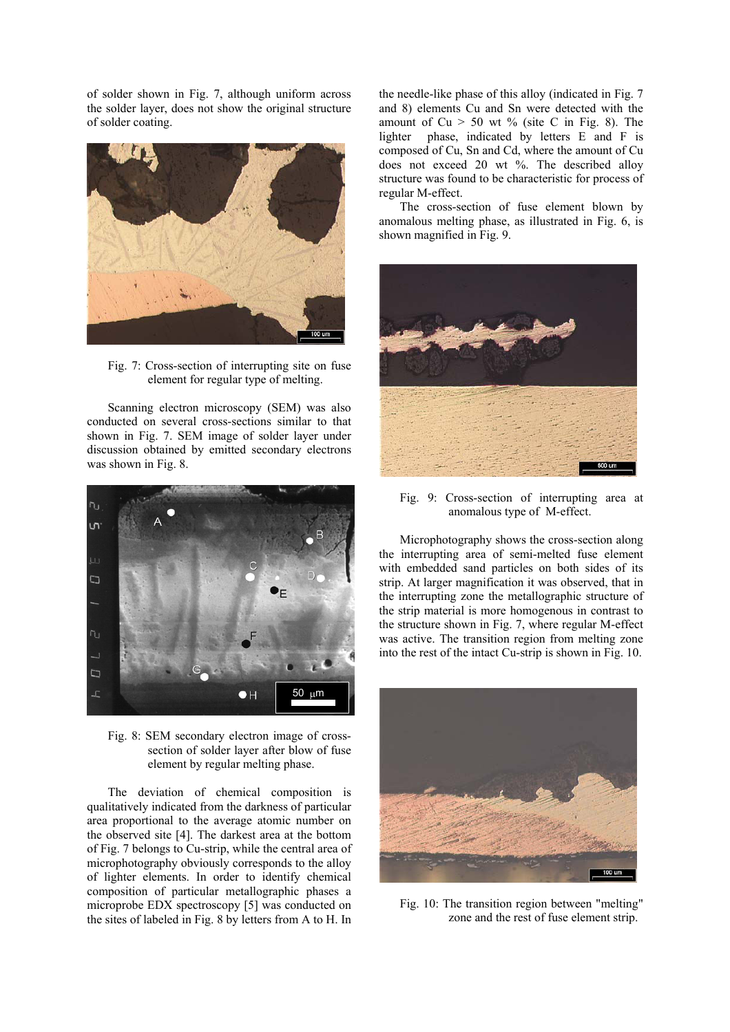of solder shown in Fig. 7, although uniform across the solder layer, does not show the original structure of solder coating.



Fig. 7: Cross-section of interrupting site on fuse element for regular type of melting.

Scanning electron microscopy (SEM) was also conducted on several cross-sections similar to that shown in Fig. 7. SEM image of solder layer under discussion obtained by emitted secondary electrons was shown in Fig. 8.



Fig. 8: SEM secondary electron image of crosssection of solder layer after blow of fuse element by regular melting phase.

The deviation of chemical composition is qualitatively indicated from the darkness of particular area proportional to the average atomic number on the observed site [4]. The darkest area at the bottom of Fig. 7 belongs to Cu-strip, while the central area of microphotography obviously corresponds to the alloy of lighter elements. In order to identify chemical composition of particular metallographic phases a microprobe EDX spectroscopy [5] was conducted on the sites of labeled in Fig. 8 by letters from A to H. In

the needle-like phase of this alloy (indicated in Fig. 7 and 8) elements Cu and Sn were detected with the amount of  $Cu > 50$  wt % (site C in Fig. 8). The lighter phase, indicated by letters E and F is composed of Cu, Sn and Cd, where the amount of Cu does not exceed 20 wt %. The described alloy structure was found to be characteristic for process of regular M-effect.

The cross-section of fuse element blown by anomalous melting phase, as illustrated in Fig. 6, is shown magnified in Fig. 9.



Fig. 9: Cross-section of interrupting area at anomalous type of M-effect.

Microphotography shows the cross-section along the interrupting area of semi-melted fuse element with embedded sand particles on both sides of its strip. At larger magnification it was observed, that in the interrupting zone the metallographic structure of the strip material is more homogenous in contrast to the structure shown in Fig. 7, where regular M-effect was active. The transition region from melting zone into the rest of the intact Cu-strip is shown in Fig. 10.



Fig. 10: The transition region between "melting" zone and the rest of fuse element strip.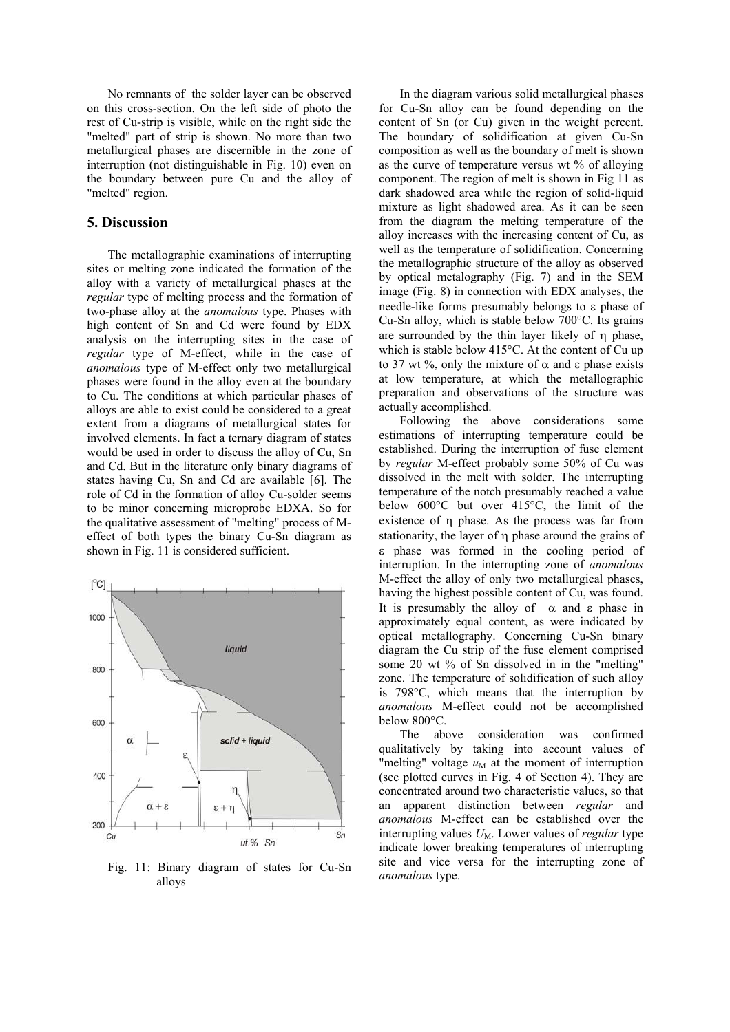No remnants of the solder layer can be observed on this cross-section. On the left side of photo the rest of Cu-strip is visible, while on the right side the "melted" part of strip is shown. No more than two metallurgical phases are discernible in the zone of interruption (not distinguishable in Fig. 10) even on the boundary between pure Cu and the alloy of "melted" region.

#### **5. Discussion**

The metallographic examinations of interrupting sites or melting zone indicated the formation of the alloy with a variety of metallurgical phases at the *regular* type of melting process and the formation of two-phase alloy at the *anomalous* type. Phases with high content of Sn and Cd were found by EDX analysis on the interrupting sites in the case of *regular* type of M-effect, while in the case of *anomalous* type of M-effect only two metallurgical phases were found in the alloy even at the boundary to Cu. The conditions at which particular phases of alloys are able to exist could be considered to a great extent from a diagrams of metallurgical states for involved elements. In fact a ternary diagram of states would be used in order to discuss the alloy of Cu, Sn and Cd. But in the literature only binary diagrams of states having Cu, Sn and Cd are available [6]. The role of Cd in the formation of alloy Cu-solder seems to be minor concerning microprobe EDXA. So for the qualitative assessment of "melting" process of Meffect of both types the binary Cu-Sn diagram as shown in Fig. 11 is considered sufficient.



Fig. 11: Binary diagram of states for Cu-Sn alloys

In the diagram various solid metallurgical phases for Cu-Sn alloy can be found depending on the content of Sn (or Cu) given in the weight percent. The boundary of solidification at given Cu-Sn composition as well as the boundary of melt is shown as the curve of temperature versus wt % of alloying component. The region of melt is shown in Fig 11 as dark shadowed area while the region of solid-liquid mixture as light shadowed area. As it can be seen from the diagram the melting temperature of the alloy increases with the increasing content of Cu, as well as the temperature of solidification. Concerning the metallographic structure of the alloy as observed by optical metalography (Fig. 7) and in the SEM image (Fig. 8) in connection with EDX analyses, the needle-like forms presumably belongs to ε phase of Cu-Sn alloy, which is stable below 700°C. Its grains are surrounded by the thin layer likely of η phase, which is stable below 415°C. At the content of Cu up to 37 wt %, only the mixture of  $\alpha$  and ε phase exists at low temperature, at which the metallographic preparation and observations of the structure was actually accomplished.

Following the above considerations some estimations of interrupting temperature could be established. During the interruption of fuse element by *regular* M-effect probably some 50% of Cu was dissolved in the melt with solder. The interrupting temperature of the notch presumably reached a value below 600°C but over 415°C, the limit of the existence of η phase. As the process was far from stationarity, the layer of η phase around the grains of ε phase was formed in the cooling period of interruption. In the interrupting zone of *anomalous* M-effect the alloy of only two metallurgical phases, having the highest possible content of Cu, was found. It is presumably the alloy of  $\alpha$  and  $\epsilon$  phase in approximately equal content, as were indicated by optical metallography. Concerning Cu-Sn binary diagram the Cu strip of the fuse element comprised some 20 wt % of Sn dissolved in in the "melting" zone. The temperature of solidification of such alloy is 798°C, which means that the interruption by *anomalous* M-effect could not be accomplished below 800°C.

The above consideration was confirmed qualitatively by taking into account values of "melting" voltage  $u_M$  at the moment of interruption (see plotted curves in Fig. 4 of Section 4). They are concentrated around two characteristic values, so that an apparent distinction between *regular* and *anomalous* M-effect can be established over the interrupting values  $U_M$ . Lower values of *regular* type indicate lower breaking temperatures of interrupting site and vice versa for the interrupting zone of *anomalous* type.